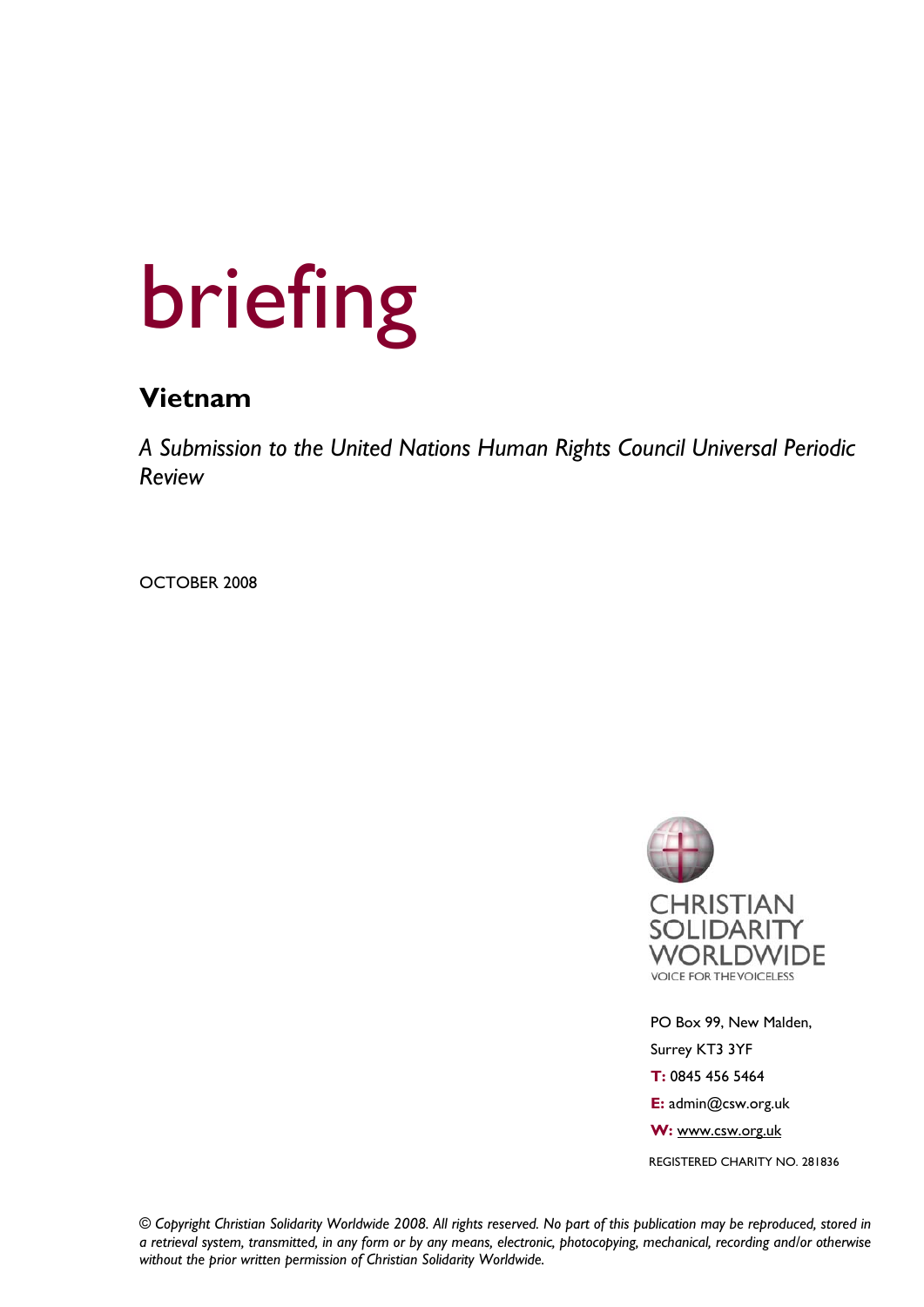# briefing

## **Vietnam**

*A Submission to the United Nations Human Rights Council Universal Periodic Review* 

OCTOBER 2008



 PO Box 99, New Malden, Surrey KT3 3YF  **T:** 0845 456 5464  **E:** admin@csw.org.uk  **W:** www.csw.org.uk REGISTERED CHARITY NO. 281836

*© Copyright Christian Solidarity Worldwide 2008. All rights reserved. No part of this publication may be reproduced, stored in a retrieval system, transmitted, in any form or by any means, electronic, photocopying, mechanical, recording and/or otherwise without the prior written permission of Christian Solidarity Worldwide.*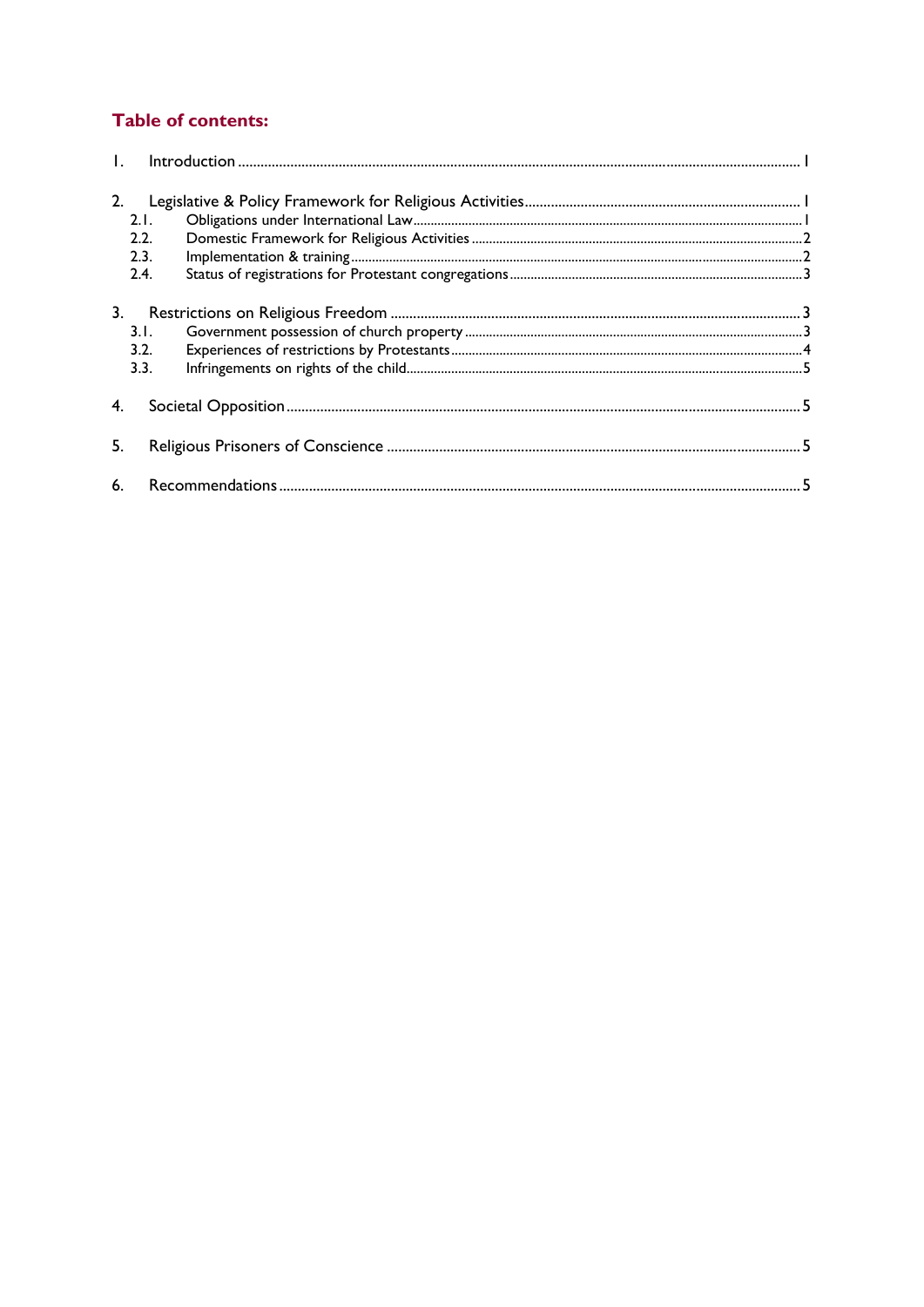### **Table of contents:**

| 2.1.<br>2.2.<br>2.3.               |  |  |
|------------------------------------|--|--|
| 2.4.<br>3.<br>3.1.<br>3.2.<br>3.3. |  |  |
| 4.                                 |  |  |
| 5.                                 |  |  |
|                                    |  |  |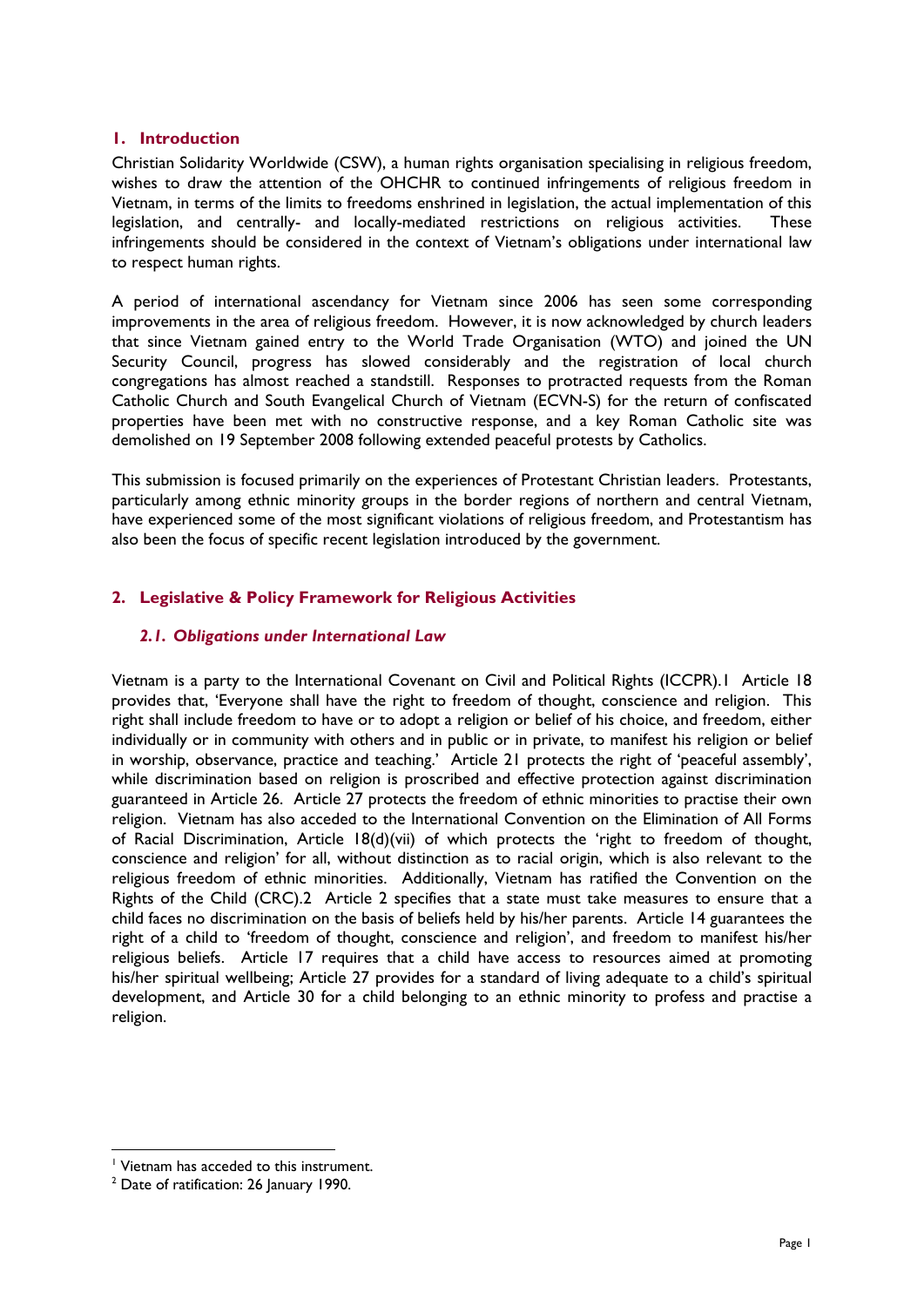#### **1. Introduction**

Christian Solidarity Worldwide (CSW), a human rights organisation specialising in religious freedom, wishes to draw the attention of the OHCHR to continued infringements of religious freedom in Vietnam, in terms of the limits to freedoms enshrined in legislation, the actual implementation of this legislation, and centrally- and locally-mediated restrictions on religious activities. These infringements should be considered in the context of Vietnam's obligations under international law to respect human rights.

A period of international ascendancy for Vietnam since 2006 has seen some corresponding improvements in the area of religious freedom. However, it is now acknowledged by church leaders that since Vietnam gained entry to the World Trade Organisation (WTO) and joined the UN Security Council, progress has slowed considerably and the registration of local church congregations has almost reached a standstill. Responses to protracted requests from the Roman Catholic Church and South Evangelical Church of Vietnam (ECVN-S) for the return of confiscated properties have been met with no constructive response, and a key Roman Catholic site was demolished on 19 September 2008 following extended peaceful protests by Catholics.

This submission is focused primarily on the experiences of Protestant Christian leaders. Protestants, particularly among ethnic minority groups in the border regions of northern and central Vietnam, have experienced some of the most significant violations of religious freedom, and Protestantism has also been the focus of specific recent legislation introduced by the government.

#### **2. Legislative & Policy Framework for Religious Activities**

#### *2.1. Obligations under International Law*

Vietnam is a party to the International Covenant on Civil and Political Rights (ICCPR).1 Article 18 provides that, 'Everyone shall have the right to freedom of thought, conscience and religion. This right shall include freedom to have or to adopt a religion or belief of his choice, and freedom, either individually or in community with others and in public or in private, to manifest his religion or belief in worship, observance, practice and teaching.' Article 21 protects the right of 'peaceful assembly', while discrimination based on religion is proscribed and effective protection against discrimination guaranteed in Article 26. Article 27 protects the freedom of ethnic minorities to practise their own religion. Vietnam has also acceded to the International Convention on the Elimination of All Forms of Racial Discrimination, Article 18(d)(vii) of which protects the 'right to freedom of thought, conscience and religion' for all, without distinction as to racial origin, which is also relevant to the religious freedom of ethnic minorities. Additionally, Vietnam has ratified the Convention on the Rights of the Child (CRC).2 Article 2 specifies that a state must take measures to ensure that a child faces no discrimination on the basis of beliefs held by his/her parents. Article 14 guarantees the right of a child to 'freedom of thought, conscience and religion', and freedom to manifest his/her religious beliefs. Article 17 requires that a child have access to resources aimed at promoting his/her spiritual wellbeing; Article 27 provides for a standard of living adequate to a child's spiritual development, and Article 30 for a child belonging to an ethnic minority to profess and practise a religion.

1

<sup>1</sup> Vietnam has acceded to this instrument.

 $2$  Date of ratification: 26 January 1990.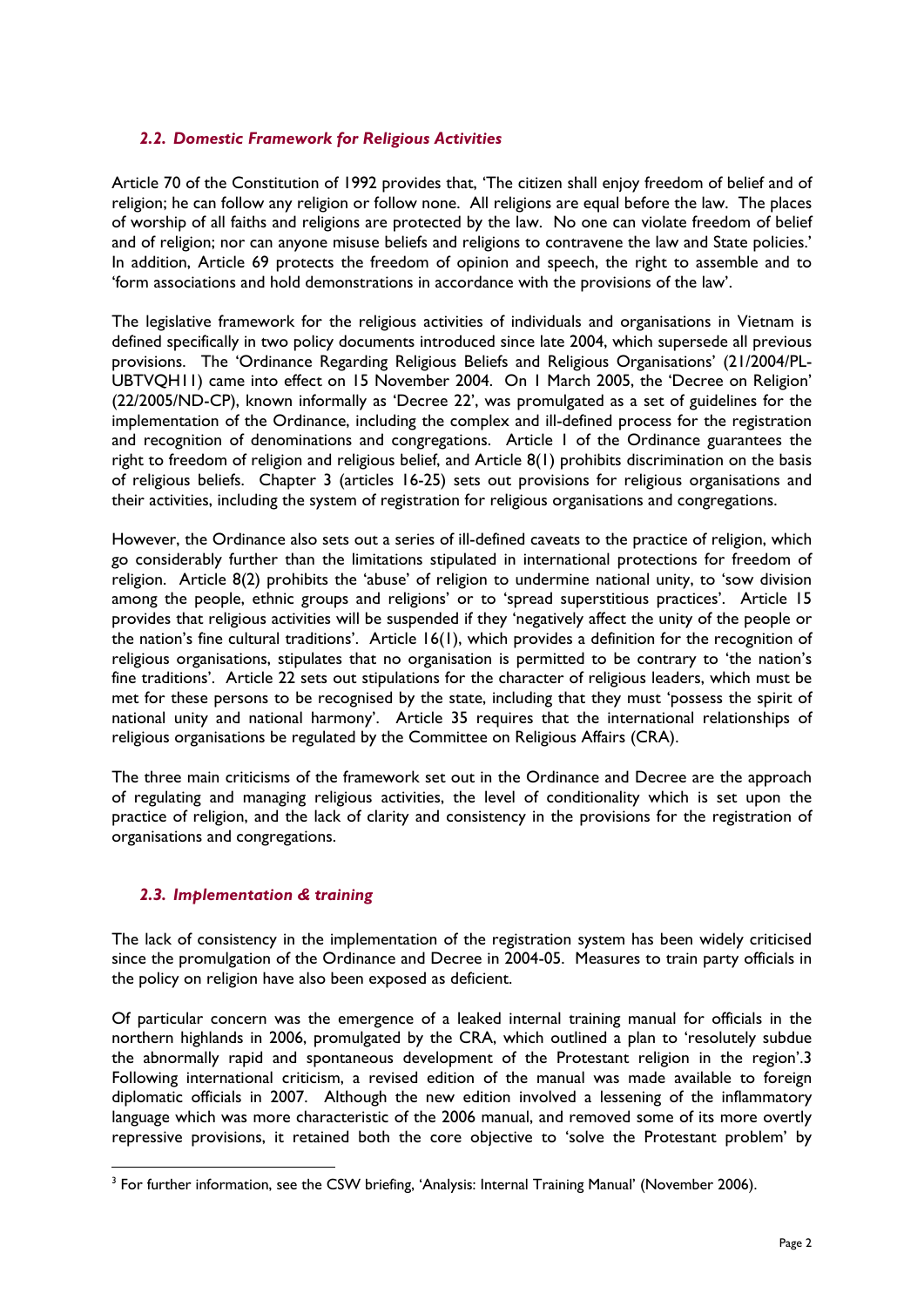#### *2.2. Domestic Framework for Religious Activities*

Article 70 of the Constitution of 1992 provides that, 'The citizen shall enjoy freedom of belief and of religion; he can follow any religion or follow none. All religions are equal before the law. The places of worship of all faiths and religions are protected by the law. No one can violate freedom of belief and of religion; nor can anyone misuse beliefs and religions to contravene the law and State policies.' In addition, Article 69 protects the freedom of opinion and speech, the right to assemble and to 'form associations and hold demonstrations in accordance with the provisions of the law'.

The legislative framework for the religious activities of individuals and organisations in Vietnam is defined specifically in two policy documents introduced since late 2004, which supersede all previous provisions. The 'Ordinance Regarding Religious Beliefs and Religious Organisations' (21/2004/PL-UBTVQH11) came into effect on 15 November 2004. On 1 March 2005, the 'Decree on Religion' (22/2005/ND-CP), known informally as 'Decree 22', was promulgated as a set of guidelines for the implementation of the Ordinance, including the complex and ill-defined process for the registration and recognition of denominations and congregations. Article 1 of the Ordinance guarantees the right to freedom of religion and religious belief, and Article 8(1) prohibits discrimination on the basis of religious beliefs. Chapter 3 (articles 16-25) sets out provisions for religious organisations and their activities, including the system of registration for religious organisations and congregations.

However, the Ordinance also sets out a series of ill-defined caveats to the practice of religion, which go considerably further than the limitations stipulated in international protections for freedom of religion. Article 8(2) prohibits the 'abuse' of religion to undermine national unity, to 'sow division among the people, ethnic groups and religions' or to 'spread superstitious practices'. Article 15 provides that religious activities will be suspended if they 'negatively affect the unity of the people or the nation's fine cultural traditions'. Article 16(1), which provides a definition for the recognition of religious organisations, stipulates that no organisation is permitted to be contrary to 'the nation's fine traditions'. Article 22 sets out stipulations for the character of religious leaders, which must be met for these persons to be recognised by the state, including that they must 'possess the spirit of national unity and national harmony'. Article 35 requires that the international relationships of religious organisations be regulated by the Committee on Religious Affairs (CRA).

The three main criticisms of the framework set out in the Ordinance and Decree are the approach of regulating and managing religious activities, the level of conditionality which is set upon the practice of religion, and the lack of clarity and consistency in the provisions for the registration of organisations and congregations.

#### *2.3. Implementation & training*

1

The lack of consistency in the implementation of the registration system has been widely criticised since the promulgation of the Ordinance and Decree in 2004-05. Measures to train party officials in the policy on religion have also been exposed as deficient.

Of particular concern was the emergence of a leaked internal training manual for officials in the northern highlands in 2006, promulgated by the CRA, which outlined a plan to 'resolutely subdue the abnormally rapid and spontaneous development of the Protestant religion in the region'.3 Following international criticism, a revised edition of the manual was made available to foreign diplomatic officials in 2007. Although the new edition involved a lessening of the inflammatory language which was more characteristic of the 2006 manual, and removed some of its more overtly repressive provisions, it retained both the core objective to 'solve the Protestant problem' by

<sup>&</sup>lt;sup>3</sup> For further information, see the CSW briefing, 'Analysis: Internal Training Manual' (November 2006).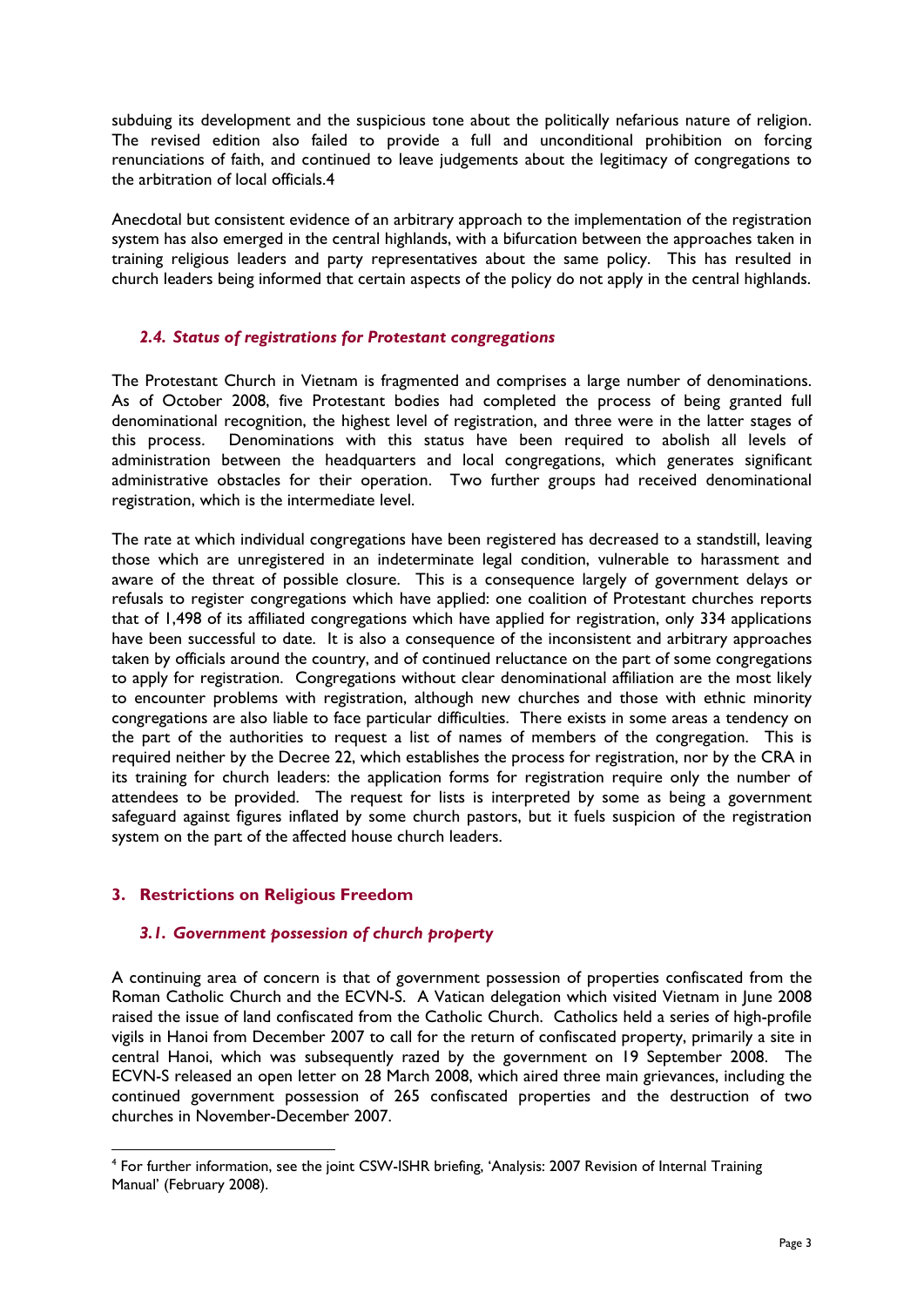subduing its development and the suspicious tone about the politically nefarious nature of religion. The revised edition also failed to provide a full and unconditional prohibition on forcing renunciations of faith, and continued to leave judgements about the legitimacy of congregations to the arbitration of local officials.4

Anecdotal but consistent evidence of an arbitrary approach to the implementation of the registration system has also emerged in the central highlands, with a bifurcation between the approaches taken in training religious leaders and party representatives about the same policy. This has resulted in church leaders being informed that certain aspects of the policy do not apply in the central highlands.

#### *2.4. Status of registrations for Protestant congregations*

The Protestant Church in Vietnam is fragmented and comprises a large number of denominations. As of October 2008, five Protestant bodies had completed the process of being granted full denominational recognition, the highest level of registration, and three were in the latter stages of this process. Denominations with this status have been required to abolish all levels of administration between the headquarters and local congregations, which generates significant administrative obstacles for their operation. Two further groups had received denominational registration, which is the intermediate level.

The rate at which individual congregations have been registered has decreased to a standstill, leaving those which are unregistered in an indeterminate legal condition, vulnerable to harassment and aware of the threat of possible closure. This is a consequence largely of government delays or refusals to register congregations which have applied: one coalition of Protestant churches reports that of 1,498 of its affiliated congregations which have applied for registration, only 334 applications have been successful to date. It is also a consequence of the inconsistent and arbitrary approaches taken by officials around the country, and of continued reluctance on the part of some congregations to apply for registration. Congregations without clear denominational affiliation are the most likely to encounter problems with registration, although new churches and those with ethnic minority congregations are also liable to face particular difficulties. There exists in some areas a tendency on the part of the authorities to request a list of names of members of the congregation. This is required neither by the Decree 22, which establishes the process for registration, nor by the CRA in its training for church leaders: the application forms for registration require only the number of attendees to be provided. The request for lists is interpreted by some as being a government safeguard against figures inflated by some church pastors, but it fuels suspicion of the registration system on the part of the affected house church leaders.

#### **3. Restrictions on Religious Freedom**

1

#### *3.1. Government possession of church property*

A continuing area of concern is that of government possession of properties confiscated from the Roman Catholic Church and the ECVN-S. A Vatican delegation which visited Vietnam in June 2008 raised the issue of land confiscated from the Catholic Church. Catholics held a series of high-profile vigils in Hanoi from December 2007 to call for the return of confiscated property, primarily a site in central Hanoi, which was subsequently razed by the government on 19 September 2008. The ECVN-S released an open letter on 28 March 2008, which aired three main grievances, including the continued government possession of 265 confiscated properties and the destruction of two churches in November-December 2007.

<sup>&</sup>lt;sup>4</sup> For further information, see the joint CSW-ISHR briefing, 'Analysis: 2007 Revision of Internal Training Manual' (February 2008).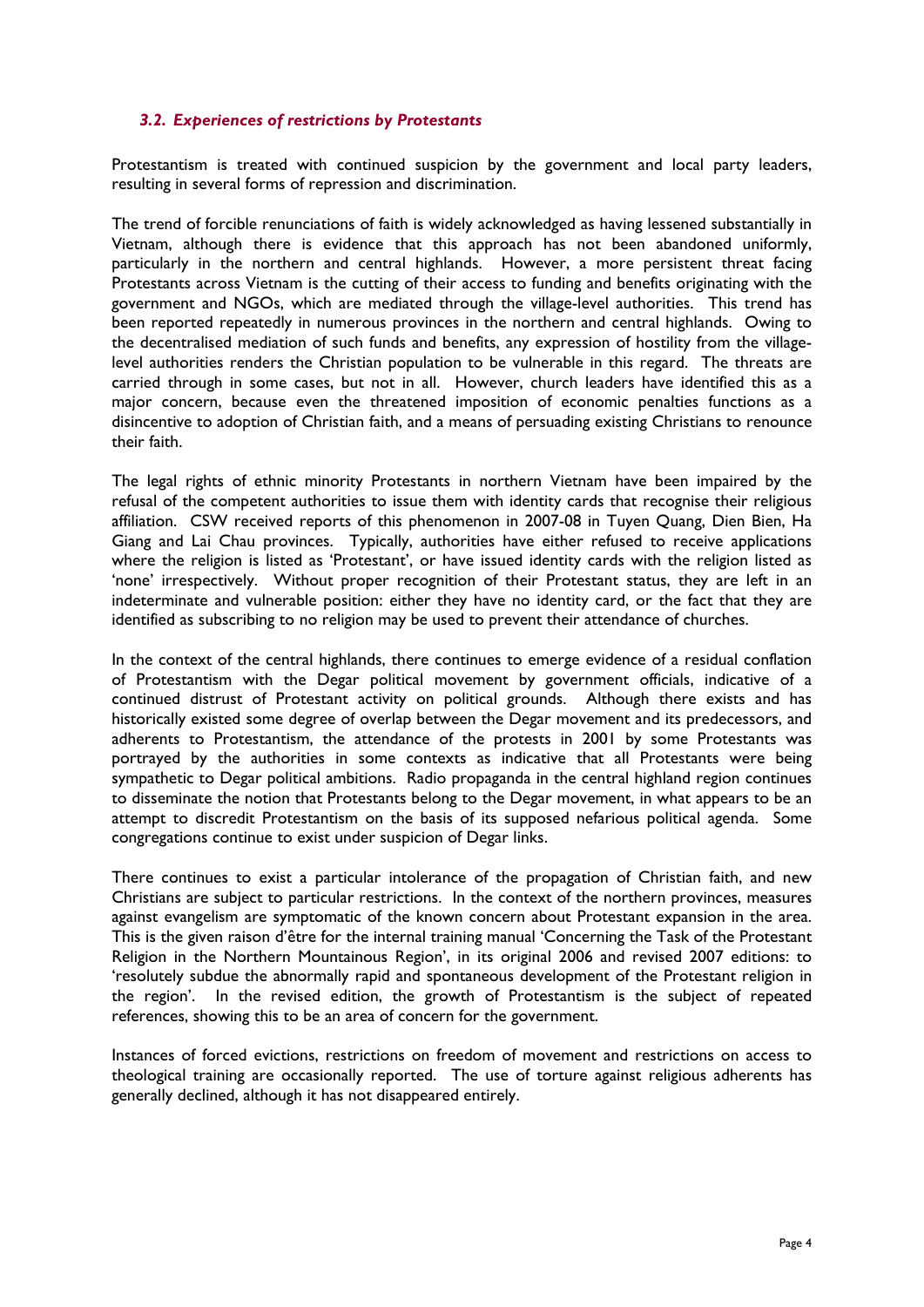#### *3.2. Experiences of restrictions by Protestants*

Protestantism is treated with continued suspicion by the government and local party leaders, resulting in several forms of repression and discrimination.

The trend of forcible renunciations of faith is widely acknowledged as having lessened substantially in Vietnam, although there is evidence that this approach has not been abandoned uniformly, particularly in the northern and central highlands. However, a more persistent threat facing Protestants across Vietnam is the cutting of their access to funding and benefits originating with the government and NGOs, which are mediated through the village-level authorities. This trend has been reported repeatedly in numerous provinces in the northern and central highlands. Owing to the decentralised mediation of such funds and benefits, any expression of hostility from the villagelevel authorities renders the Christian population to be vulnerable in this regard. The threats are carried through in some cases, but not in all. However, church leaders have identified this as a major concern, because even the threatened imposition of economic penalties functions as a disincentive to adoption of Christian faith, and a means of persuading existing Christians to renounce their faith.

The legal rights of ethnic minority Protestants in northern Vietnam have been impaired by the refusal of the competent authorities to issue them with identity cards that recognise their religious affiliation. CSW received reports of this phenomenon in 2007-08 in Tuyen Quang, Dien Bien, Ha Giang and Lai Chau provinces. Typically, authorities have either refused to receive applications where the religion is listed as 'Protestant', or have issued identity cards with the religion listed as 'none' irrespectively. Without proper recognition of their Protestant status, they are left in an indeterminate and vulnerable position: either they have no identity card, or the fact that they are identified as subscribing to no religion may be used to prevent their attendance of churches.

In the context of the central highlands, there continues to emerge evidence of a residual conflation of Protestantism with the Degar political movement by government officials, indicative of a continued distrust of Protestant activity on political grounds. Although there exists and has historically existed some degree of overlap between the Degar movement and its predecessors, and adherents to Protestantism, the attendance of the protests in 2001 by some Protestants was portrayed by the authorities in some contexts as indicative that all Protestants were being sympathetic to Degar political ambitions. Radio propaganda in the central highland region continues to disseminate the notion that Protestants belong to the Degar movement, in what appears to be an attempt to discredit Protestantism on the basis of its supposed nefarious political agenda. Some congregations continue to exist under suspicion of Degar links.

There continues to exist a particular intolerance of the propagation of Christian faith, and new Christians are subject to particular restrictions. In the context of the northern provinces, measures against evangelism are symptomatic of the known concern about Protestant expansion in the area. This is the given raison d'être for the internal training manual 'Concerning the Task of the Protestant Religion in the Northern Mountainous Region', in its original 2006 and revised 2007 editions: to 'resolutely subdue the abnormally rapid and spontaneous development of the Protestant religion in the region'. In the revised edition, the growth of Protestantism is the subject of repeated references, showing this to be an area of concern for the government.

Instances of forced evictions, restrictions on freedom of movement and restrictions on access to theological training are occasionally reported. The use of torture against religious adherents has generally declined, although it has not disappeared entirely.